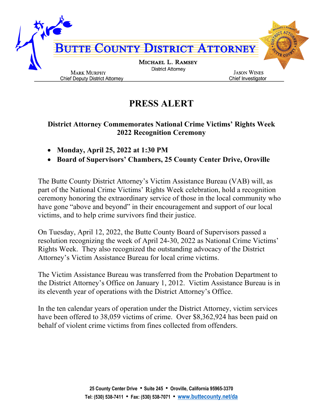

## **PRESS ALERT**

## **District Attorney Commemorates National Crime Victims' Rights Week 2022 Recognition Ceremony**

- **Monday, April 25, 2022 at 1:30 PM**
- **Board of Supervisors' Chambers, 25 County Center Drive, Oroville**

The Butte County District Attorney's Victim Assistance Bureau (VAB) will, as part of the National Crime Victims' Rights Week celebration, hold a recognition ceremony honoring the extraordinary service of those in the local community who have gone "above and beyond" in their encouragement and support of our local victims, and to help crime survivors find their justice.

On Tuesday, April 12, 2022, the Butte County Board of Supervisors passed a resolution recognizing the week of April 24-30, 2022 as National Crime Victims' Rights Week. They also recognized the outstanding advocacy of the District Attorney's Victim Assistance Bureau for local crime victims.

The Victim Assistance Bureau was transferred from the Probation Department to the District Attorney's Office on January 1, 2012. Victim Assistance Bureau is in its eleventh year of operations with the District Attorney's Office.

In the ten calendar years of operation under the District Attorney, victim services have been offered to 38,059 victims of crime. Over \$8,362,924 has been paid on behalf of violent crime victims from fines collected from offenders.